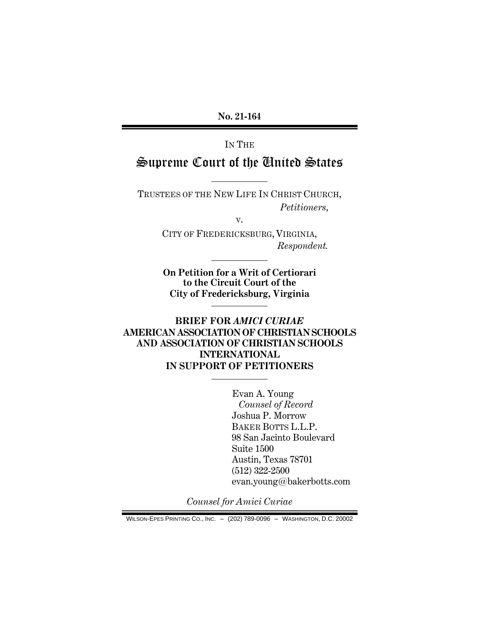**No. 21-164**

IN THE

# Supreme Court of the United States

TRUSTEES OF THE NEW LIFE IN CHRIST CHURCH, *Petitioners*,

v.

CITY OF FREDERICKSBURG, VIRGINIA, *Respondent.*

**On Petition for a Writ of Certiorari to the Circuit Court of the City of Fredericksburg, Virginia**

**BRIEF FOR** *AMICI CURIAE* **AMERICAN ASSOCIATION OF CHRISTIAN SCHOOLS AND ASSOCIATION OF CHRISTIAN SCHOOLS INTERNATIONAL IN SUPPORT OF PETITIONERS**

> Evan A. Young *Counsel of Record* Joshua P. Morrow BAKER BOTTS L.L.P. 98 San Jacinto Boulevard Suite 1500 Austin, Texas 78701 (512) 322-2500 evan.young@bakerbotts.com

*Counsel for Amici Curiae*

WILSON-EPES PRINTING CO., INC. – (202) 789-0096 – WASHINGTON, D.C. 20002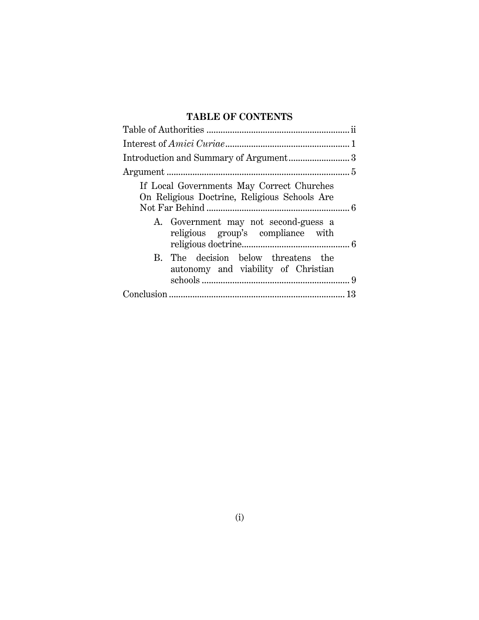### **TABLE OF CONTENTS**

| If Local Governments May Correct Churches<br>On Religious Doctrine, Religious Schools Are<br>A. Government may not second-guess a<br>religious group's compliance with |  |
|------------------------------------------------------------------------------------------------------------------------------------------------------------------------|--|
| B. The decision below threatens the<br>autonomy and viability of Christian                                                                                             |  |
|                                                                                                                                                                        |  |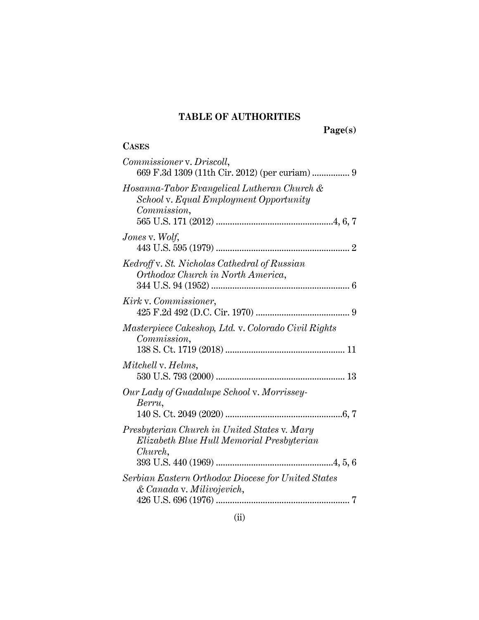### **TABLE OF AUTHORITIES**

**Page(s)**

## **CASES**

| Commissioner v. Driscoll,                                                                            |
|------------------------------------------------------------------------------------------------------|
| Hosanna-Tabor Evangelical Lutheran Church &<br>School v. Equal Employment Opportunity<br>Commission, |
| Jones v. Wolf,                                                                                       |
| Kedroff v. St. Nicholas Cathedral of Russian<br>Orthodox Church in North America,                    |
| Kirk v. Commissioner,                                                                                |
| Masterpiece Cakeshop, Ltd. v. Colorado Civil Rights<br>Commission,                                   |
| Mitchell v. Helms,                                                                                   |
| Our Lady of Guadalupe School v. Morrissey-<br>Berru,                                                 |
| Presbyterian Church in United States v. Mary<br>Elizabeth Blue Hull Memorial Presbyterian<br>Church, |
| Serbian Eastern Orthodox Diocese for United States<br>& Canada v. Milivojevich,                      |
|                                                                                                      |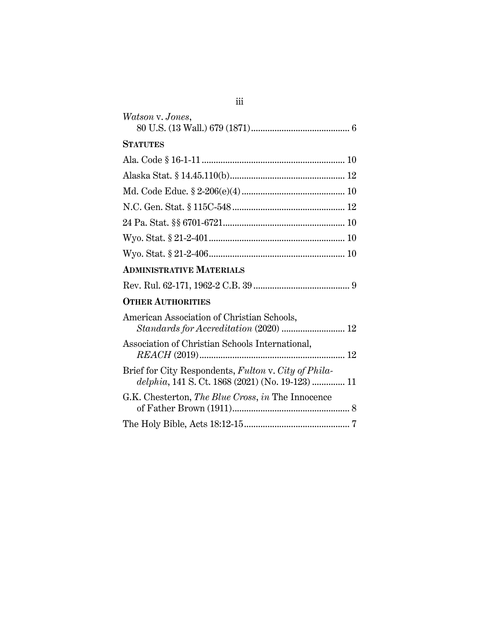| Watson v. Jones,                                                                                         |  |
|----------------------------------------------------------------------------------------------------------|--|
| <b>STATUTES</b>                                                                                          |  |
|                                                                                                          |  |
|                                                                                                          |  |
|                                                                                                          |  |
|                                                                                                          |  |
|                                                                                                          |  |
|                                                                                                          |  |
|                                                                                                          |  |
| <b>ADMINISTRATIVE MATERIALS</b>                                                                          |  |
|                                                                                                          |  |
| <b>OTHER AUTHORITIES</b>                                                                                 |  |
| American Association of Christian Schools,<br>Standards for Accreditation (2020)  12                     |  |
| Association of Christian Schools International,                                                          |  |
| Brief for City Respondents, Fulton v. City of Phila-<br>delphia, 141 S. Ct. 1868 (2021) (No. 19-123)  11 |  |
| G.K. Chesterton, The Blue Cross, in The Innocence                                                        |  |
|                                                                                                          |  |

iii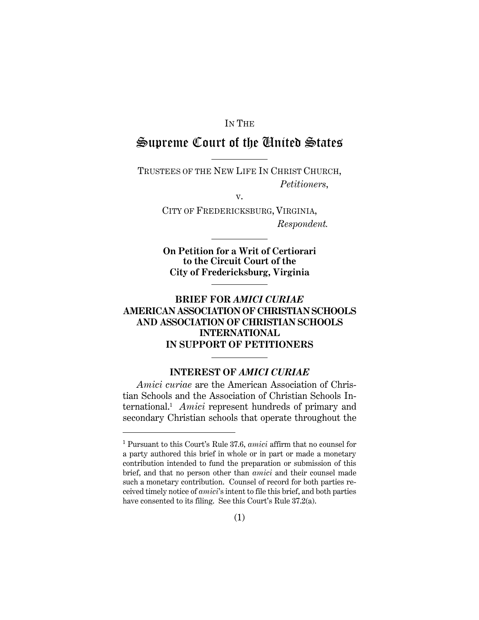#### IN THE

## Supreme Court of the United States

TRUSTEES OF THE NEW LIFE IN CHRIST CHURCH, *Petitioners*,

v.

CITY OF FREDERICKSBURG, VIRGINIA, *Respondent.*

**On Petition for a Writ of Certiorari to the Circuit Court of the City of Fredericksburg, Virginia**

### **BRIEF FOR** *AMICI CURIAE* **AMERICAN ASSOCIATION OF CHRISTIAN SCHOOLS AND ASSOCIATION OF CHRISTIAN SCHOOLS INTERNATIONAL IN SUPPORT OF PETITIONERS**

### **INTEREST OF** *AMICI CURIAE*

*Amici curiae* are the American Association of Christian Schools and the Association of Christian Schools International. 1 *Amici* represent hundreds of primary and secondary Christian schools that operate throughout the

<sup>1</sup> Pursuant to this Court's Rule 37.6, *amici* affirm that no counsel for a party authored this brief in whole or in part or made a monetary contribution intended to fund the preparation or submission of this brief, and that no person other than *amici* and their counsel made such a monetary contribution. Counsel of record for both parties received timely notice of *amici*'s intent to file this brief, and both parties have consented to its filing. See this Court's Rule 37.2(a).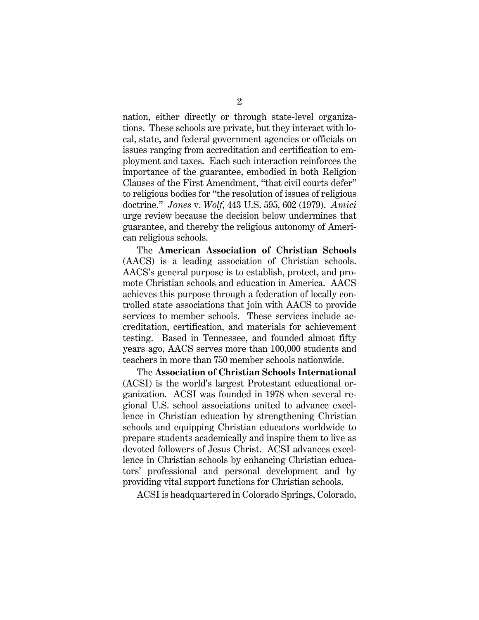nation, either directly or through state-level organizations. These schools are private, but they interact with local, state, and federal government agencies or officials on issues ranging from accreditation and certification to employment and taxes. Each such interaction reinforces the importance of the guarantee, embodied in both Religion Clauses of the First Amendment, "that civil courts defer" to religious bodies for "the resolution of issues of religious doctrine." *Jones* v. *Wolf*, 443 U.S. 595, 602 (1979). *Amici* urge review because the decision below undermines that guarantee, and thereby the religious autonomy of American religious schools.

The **American Association of Christian Schools** (AACS) is a leading association of Christian schools. AACS's general purpose is to establish, protect, and promote Christian schools and education in America. AACS achieves this purpose through a federation of locally controlled state associations that join with AACS to provide services to member schools. These services include accreditation, certification, and materials for achievement testing. Based in Tennessee, and founded almost fifty years ago, AACS serves more than 100,000 students and teachers in more than 750 member schools nationwide.

The **Association of Christian Schools International** (ACSI) is the world's largest Protestant educational organization. ACSI was founded in 1978 when several regional U.S. school associations united to advance excellence in Christian education by strengthening Christian schools and equipping Christian educators worldwide to prepare students academically and inspire them to live as devoted followers of Jesus Christ. ACSI advances excellence in Christian schools by enhancing Christian educators' professional and personal development and by providing vital support functions for Christian schools.

ACSI is headquartered in Colorado Springs, Colorado,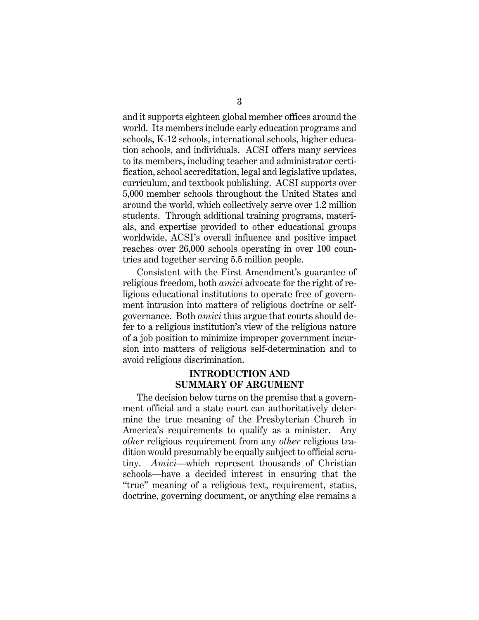and it supports eighteen global member offices around the world. Its members include early education programs and schools, K-12 schools, international schools, higher education schools, and individuals. ACSI offers many services to its members, including teacher and administrator certification, school accreditation, legal and legislative updates, curriculum, and textbook publishing. ACSI supports over 5,000 member schools throughout the United States and around the world, which collectively serve over 1.2 million students. Through additional training programs, materials, and expertise provided to other educational groups worldwide, ACSI's overall influence and positive impact reaches over 26,000 schools operating in over 100 countries and together serving 5.5 million people.

Consistent with the First Amendment's guarantee of religious freedom, both *amici* advocate for the right of religious educational institutions to operate free of government intrusion into matters of religious doctrine or selfgovernance. Both *amici* thus argue that courts should defer to a religious institution's view of the religious nature of a job position to minimize improper government incursion into matters of religious self-determination and to avoid religious discrimination.

#### **INTRODUCTION AND SUMMARY OF ARGUMENT**

The decision below turns on the premise that a government official and a state court can authoritatively determine the true meaning of the Presbyterian Church in America's requirements to qualify as a minister. Any *other* religious requirement from any *other* religious tradition would presumably be equally subject to official scrutiny. *Amici*—which represent thousands of Christian schools—have a decided interest in ensuring that the "true" meaning of a religious text, requirement, status, doctrine, governing document, or anything else remains a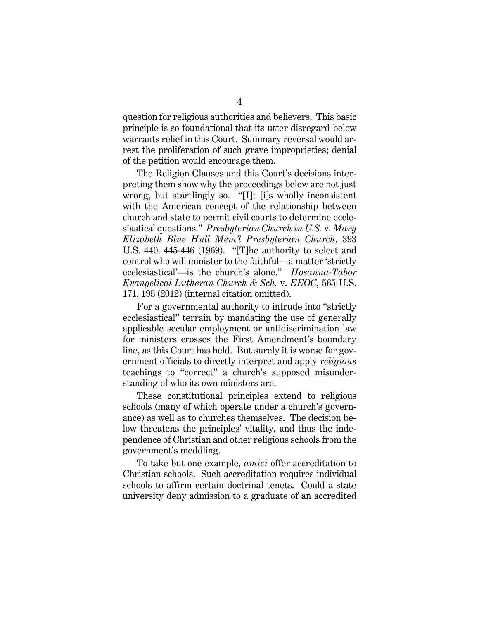question for religious authorities and believers. This basic principle is so foundational that its utter disregard below warrants relief in this Court. Summary reversal would arrest the proliferation of such grave improprieties; denial of the petition would encourage them.

The Religion Clauses and this Court's decisions interpreting them show why the proceedings below are not just wrong, but startlingly so. "[I]t [i]s wholly inconsistent with the American concept of the relationship between church and state to permit civil courts to determine ecclesiastical questions." *Presbyterian Church in U.S.* v*. Mary Elizabeth Blue Hull Mem'l Presbyterian Church*, 393 U.S. 440, 445-446 (1969). "[T]he authority to select and control who will minister to the faithful—a matter 'strictly ecclesiastical'—is the church's alone." *Hosanna-Tabor Evangelical Lutheran Church & Sch.* v. *EEOC*, 565 U.S. 171, 195 (2012) (internal citation omitted).

For a governmental authority to intrude into "strictly ecclesiastical" terrain by mandating the use of generally applicable secular employment or antidiscrimination law for ministers crosses the First Amendment's boundary line, as this Court has held. But surely it is worse for government officials to directly interpret and apply *religious*  teachings to "correct" a church's supposed misunderstanding of who its own ministers are.

These constitutional principles extend to religious schools (many of which operate under a church's governance) as well as to churches themselves. The decision below threatens the principles' vitality, and thus the independence of Christian and other religious schools from the government's meddling.

To take but one example, *amici* offer accreditation to Christian schools. Such accreditation requires individual schools to affirm certain doctrinal tenets. Could a state university deny admission to a graduate of an accredited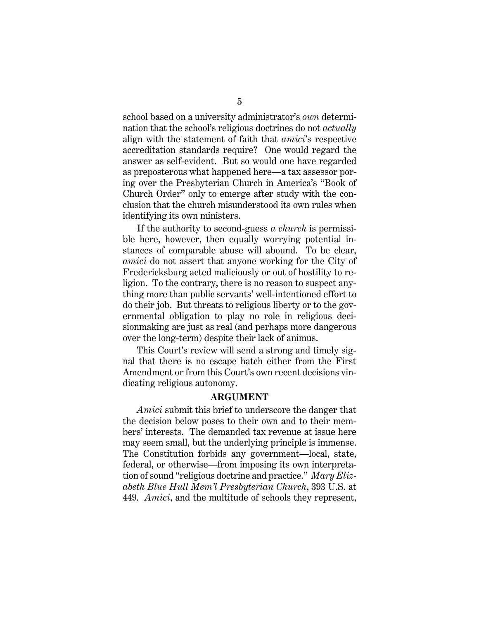school based on a university administrator's *own* determination that the school's religious doctrines do not *actually* align with the statement of faith that *amici*'s respective accreditation standards require? One would regard the answer as self-evident. But so would one have regarded as preposterous what happened here—a tax assessor poring over the Presbyterian Church in America's "Book of Church Order" only to emerge after study with the conclusion that the church misunderstood its own rules when identifying its own ministers.

If the authority to second-guess *a church* is permissible here, however, then equally worrying potential instances of comparable abuse will abound. To be clear, *amici* do not assert that anyone working for the City of Fredericksburg acted maliciously or out of hostility to religion. To the contrary, there is no reason to suspect anything more than public servants' well-intentioned effort to do their job. But threats to religious liberty or to the governmental obligation to play no role in religious decisionmaking are just as real (and perhaps more dangerous over the long-term) despite their lack of animus.

This Court's review will send a strong and timely signal that there is no escape hatch either from the First Amendment or from this Court's own recent decisions vindicating religious autonomy.

#### **ARGUMENT**

*Amici* submit this brief to underscore the danger that the decision below poses to their own and to their members' interests. The demanded tax revenue at issue here may seem small, but the underlying principle is immense. The Constitution forbids any government—local, state, federal, or otherwise—from imposing its own interpretation of sound "religious doctrine and practice." *Mary Elizabeth Blue Hull Mem'l Presbyterian Church*, 393 U.S. at 449. *Amici*, and the multitude of schools they represent,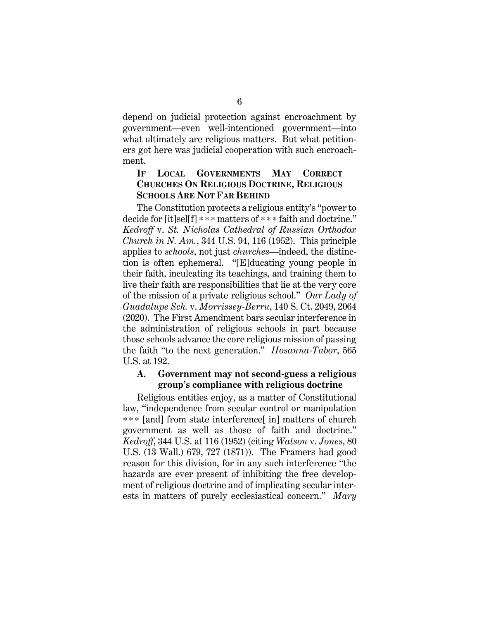depend on judicial protection against encroachment by government—even well-intentioned government—into what ultimately are religious matters. But what petitioners got here was judicial cooperation with such encroachment.

#### **IF LOCAL GOVERNMENTS MAY CORRECT CHURCHES ON RELIGIOUS DOCTRINE, RELIGIOUS SCHOOLS ARE NOT FAR BEHIND**

The Constitution protects a religious entity's "power to decide for [it]sel[f] \*\* \* matters of \* \* \* faith and doctrine." *Kedroff* v. *St. Nicholas Cathedral of Russian Orthodox Church in N. Am.*, 344 U.S. 94, 116 (1952). This principle applies to *schools*, not just *churches*—indeed, the distinction is often ephemeral. "[E]ducating young people in their faith, inculcating its teachings, and training them to live their faith are responsibilities that lie at the very core of the mission of a private religious school." *Our Lady of Guadalupe Sch.* v. *Morrissey-Berru*, 140 S. Ct. 2049, 2064 (2020). The First Amendment bars secular interference in the administration of religious schools in part because those schools advance the core religious mission of passing the faith "to the next generation." *Hosanna-Tabor*, 565 U.S. at 192.

#### **A. Government may not second-guess a religious group's compliance with religious doctrine**

Religious entities enjoy, as a matter of Constitutional law, "independence from secular control or manipulation \* \* \* [and] from state interference[ in] matters of church government as well as those of faith and doctrine." *Kedroff*, 344 U.S. at 116 (1952) (citing *Watson* v. *Jones*, 80 U.S. (13 Wall.) 679, 727 (1871)). The Framers had good reason for this division, for in any such interference "the hazards are ever present of inhibiting the free development of religious doctrine and of implicating secular interests in matters of purely ecclesiastical concern." *Mary*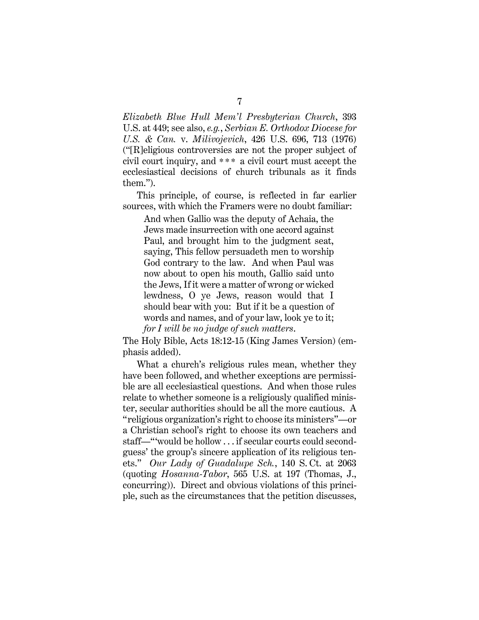*Elizabeth Blue Hull Mem'l Presbyterian Church*, 393 U.S. at 449; see also, *e.g.*, *Serbian E. Orthodox Diocese for U.S. & Can.* v. *Milivojevich*, 426 U.S. 696, 713 (1976) ("[R]eligious controversies are not the proper subject of civil court inquiry, and \* \* \* a civil court must accept the ecclesiastical decisions of church tribunals as it finds them.").

This principle, of course, is reflected in far earlier sources, with which the Framers were no doubt familiar:

And when Gallio was the deputy of Achaia, the Jews made insurrection with one accord against Paul, and brought him to the judgment seat, saying, This fellow persuadeth men to worship God contrary to the law. And when Paul was now about to open his mouth, Gallio said unto the Jews, If it were a matter of wrong or wicked lewdness, O ye Jews, reason would that I should bear with you: But if it be a question of words and names, and of your law, look ye to it; *for I will be no judge of such matters*.

The Holy Bible, Acts 18:12-15 (King James Version) (emphasis added).

What a church's religious rules mean, whether they have been followed, and whether exceptions are permissible are all ecclesiastical questions. And when those rules relate to whether someone is a religiously qualified minister, secular authorities should be all the more cautious. A "religious organization's right to choose its ministers"—or a Christian school's right to choose its own teachers and staff—"'would be hollow . . . if secular courts could secondguess' the group's sincere application of its religious tenets." *Our Lady of Guadalupe Sch.*, 140 S. Ct. at 2063 (quoting *Hosanna-Tabor*, 565 U.S. at 197 (Thomas, J., concurring)). Direct and obvious violations of this principle, such as the circumstances that the petition discusses,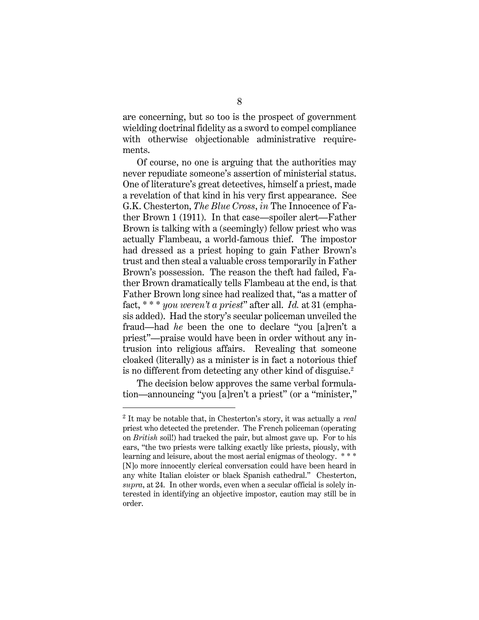are concerning, but so too is the prospect of government wielding doctrinal fidelity as a sword to compel compliance with otherwise objectionable administrative requirements.

Of course, no one is arguing that the authorities may never repudiate someone's assertion of ministerial status. One of literature's great detectives, himself a priest, made a revelation of that kind in his very first appearance. See G.K. Chesterton, *The Blue Cross*, *in* The Innocence of Father Brown 1 (1911). In that case—spoiler alert—Father Brown is talking with a (seemingly) fellow priest who was actually Flambeau, a world-famous thief. The impostor had dressed as a priest hoping to gain Father Brown's trust and then steal a valuable cross temporarily in Father Brown's possession. The reason the theft had failed, Father Brown dramatically tells Flambeau at the end, is that Father Brown long since had realized that, "as a matter of fact, \* \* \* *you weren't a priest*" after all. *Id.* at 31 (emphasis added). Had the story's secular policeman unveiled the fraud—had *he* been the one to declare "you [a]ren't a priest"—praise would have been in order without any intrusion into religious affairs. Revealing that someone cloaked (literally) as a minister is in fact a notorious thief is no different from detecting any other kind of disguise.<sup>2</sup>

The decision below approves the same verbal formulation—announcing "you [a]ren't a priest" (or a "minister,"

<sup>2</sup> It may be notable that, in Chesterton's story, it was actually a *real*  priest who detected the pretender. The French policeman (operating on *British* soil!) had tracked the pair, but almost gave up. For to his ears, "the two priests were talking exactly like priests, piously, with learning and leisure, about the most aerial enigmas of theology. \*\*\* [N]o more innocently clerical conversation could have been heard in any white Italian cloister or black Spanish cathedral." Chesterton, *supra*, at 24. In other words, even when a secular official is solely interested in identifying an objective impostor, caution may still be in order.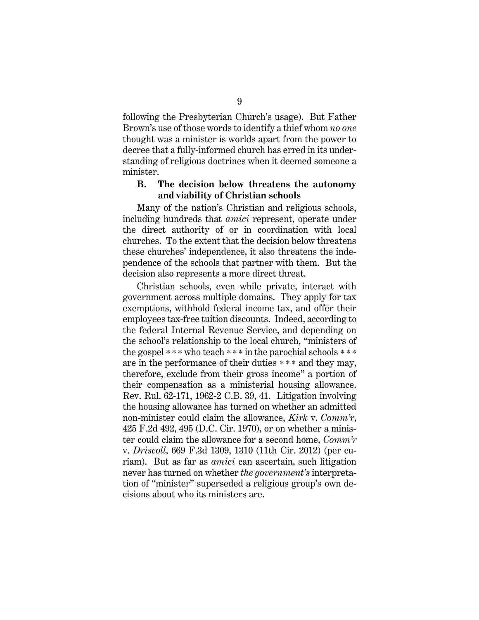following the Presbyterian Church's usage). But Father Brown's use of those words to identify a thief whom *no one*  thought was a minister is worlds apart from the power to decree that a fully-informed church has erred in its understanding of religious doctrines when it deemed someone a minister.

#### **B. The decision below threatens the autonomy and viability of Christian schools**

Many of the nation's Christian and religious schools, including hundreds that *amici* represent, operate under the direct authority of or in coordination with local churches. To the extent that the decision below threatens these churches' independence, it also threatens the independence of the schools that partner with them. But the decision also represents a more direct threat.

Christian schools, even while private, interact with government across multiple domains. They apply for tax exemptions, withhold federal income tax, and offer their employees tax-free tuition discounts. Indeed, according to the federal Internal Revenue Service, and depending on the school's relationship to the local church, "ministers of the gospel \* \* \* who teach \* \* \* in the parochial schools \* \* \* are in the performance of their duties \*\* \* and they may, therefore, exclude from their gross income" a portion of their compensation as a ministerial housing allowance. Rev. Rul. 62-171, 1962-2 C.B. 39, 41. Litigation involving the housing allowance has turned on whether an admitted non-minister could claim the allowance, *Kirk* v. *Comm'r*, 425 F.2d 492, 495 (D.C. Cir. 1970), or on whether a minister could claim the allowance for a second home, *Comm'r* v. *Driscoll*, 669 F.3d 1309, 1310 (11th Cir. 2012) (per curiam). But as far as *amici* can ascertain, such litigation never has turned on whether *the government's* interpretation of "minister" superseded a religious group's own decisions about who its ministers are.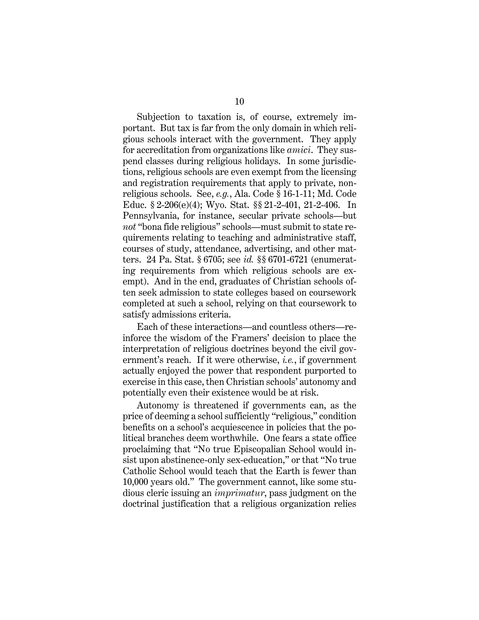Subjection to taxation is, of course, extremely important. But tax is far from the only domain in which religious schools interact with the government. They apply for accreditation from organizations like *amici*. They suspend classes during religious holidays. In some jurisdictions, religious schools are even exempt from the licensing and registration requirements that apply to private, nonreligious schools. See, *e.g.*, Ala. Code § 16-1-11; Md. Code Educ. § 2-206(e)(4); Wyo. Stat. §§ 21-2-401, 21-2-406. In Pennsylvania, for instance, secular private schools—but *not* "bona fide religious" schools—must submit to state requirements relating to teaching and administrative staff, courses of study, attendance, advertising, and other matters. 24 Pa. Stat. § 6705; see *id.* §§ 6701-6721 (enumerating requirements from which religious schools are exempt). And in the end, graduates of Christian schools often seek admission to state colleges based on coursework completed at such a school, relying on that coursework to satisfy admissions criteria.

Each of these interactions—and countless others—reinforce the wisdom of the Framers' decision to place the interpretation of religious doctrines beyond the civil government's reach. If it were otherwise, *i.e.*, if government actually enjoyed the power that respondent purported to exercise in this case, then Christian schools' autonomy and potentially even their existence would be at risk.

Autonomy is threatened if governments can, as the price of deeming a school sufficiently "religious," condition benefits on a school's acquiescence in policies that the political branches deem worthwhile. One fears a state office proclaiming that "No true Episcopalian School would insist upon abstinence-only sex-education," or that "No true Catholic School would teach that the Earth is fewer than 10,000 years old." The government cannot, like some studious cleric issuing an *imprimatur*, pass judgment on the doctrinal justification that a religious organization relies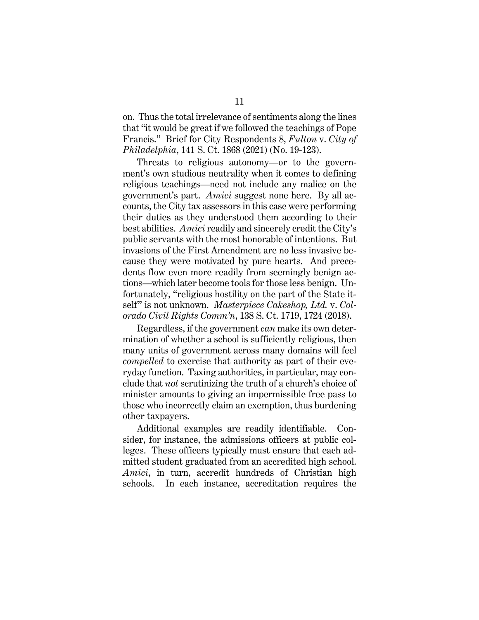on. Thus the total irrelevance of sentiments along the lines that "it would be great if we followed the teachings of Pope Francis." Brief for City Respondents 8, *Fulton* v. *City of Philadelphia*, 141 S. Ct. 1868 (2021) (No. 19-123).

Threats to religious autonomy—or to the government's own studious neutrality when it comes to defining religious teachings—need not include any malice on the government's part. *Amici* suggest none here. By all accounts, the City tax assessors in this case were performing their duties as they understood them according to their best abilities. *Amici* readily and sincerely credit the City's public servants with the most honorable of intentions. But invasions of the First Amendment are no less invasive because they were motivated by pure hearts. And precedents flow even more readily from seemingly benign actions—which later become tools for those less benign. Unfortunately, "religious hostility on the part of the State itself" is not unknown. *Masterpiece Cakeshop, Ltd.* v. *Colorado Civil Rights Comm'n*, 138 S. Ct. 1719, 1724 (2018).

Regardless, if the government *can* make its own determination of whether a school is sufficiently religious, then many units of government across many domains will feel *compelled* to exercise that authority as part of their everyday function. Taxing authorities, in particular, may conclude that *not* scrutinizing the truth of a church's choice of minister amounts to giving an impermissible free pass to those who incorrectly claim an exemption, thus burdening other taxpayers.

Additional examples are readily identifiable. Consider, for instance, the admissions officers at public colleges. These officers typically must ensure that each admitted student graduated from an accredited high school. *Amici*, in turn, accredit hundreds of Christian high schools. In each instance, accreditation requires the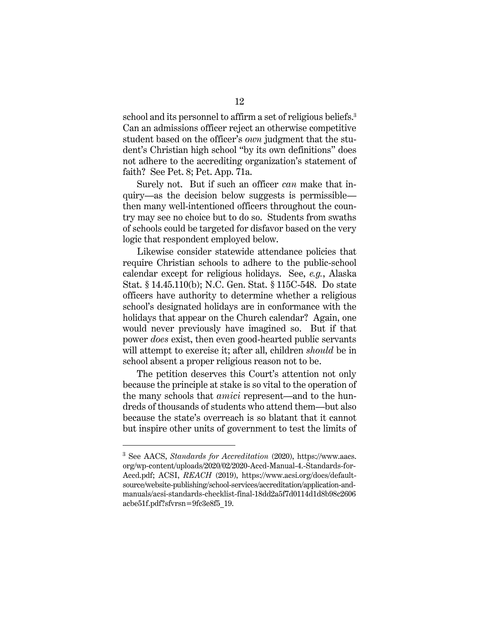school and its personnel to affirm a set of religious beliefs.<sup>3</sup> Can an admissions officer reject an otherwise competitive student based on the officer's *own* judgment that the student's Christian high school "by its own definitions" does not adhere to the accrediting organization's statement of faith? See Pet. 8; Pet. App. 71a.

Surely not. But if such an officer *can* make that inquiry—as the decision below suggests is permissible then many well-intentioned officers throughout the country may see no choice but to do so. Students from swaths of schools could be targeted for disfavor based on the very logic that respondent employed below.

Likewise consider statewide attendance policies that require Christian schools to adhere to the public-school calendar except for religious holidays. See, *e.g.*, Alaska Stat. § 14.45.110(b); N.C. Gen. Stat. § 115C-548. Do state officers have authority to determine whether a religious school's designated holidays are in conformance with the holidays that appear on the Church calendar? Again, one would never previously have imagined so. But if that power *does* exist, then even good-hearted public servants will attempt to exercise it; after all, children *should* be in school absent a proper religious reason not to be.

The petition deserves this Court's attention not only because the principle at stake is so vital to the operation of the many schools that *amici* represent—and to the hundreds of thousands of students who attend them—but also because the state's overreach is so blatant that it cannot but inspire other units of government to test the limits of

<sup>3</sup> See AACS, *Standards for Accreditation* (2020), https://www.aacs. org/wp-content/uploads/2020/02/2020-Accd-Manual-4.-Standards-for-Accd.pdf; ACSI, *REACH* (2019), https://www.acsi.org/docs/defaultsource/website-publishing/school-services/accreditation/application-andmanuals/acsi-standards-checklist-final-18dd2a5f7d0114d1d8b98c2606 acbe51f.pdf?sfvrsn=9fc3e8f5\_19.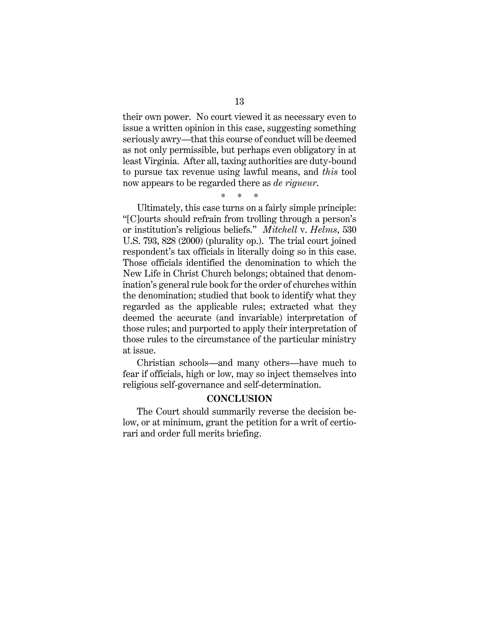their own power. No court viewed it as necessary even to issue a written opinion in this case, suggesting something seriously awry—that this course of conduct will be deemed as not only permissible, but perhaps even obligatory in at least Virginia. After all, taxing authorities are duty-bound to pursue tax revenue using lawful means, and *this* tool now appears to be regarded there as *de rigueur*.

\* \* \*

Ultimately, this case turns on a fairly simple principle: "[C]ourts should refrain from trolling through a person's or institution's religious beliefs." *Mitchell* v. *Helms*, 530 U.S. 793, 828 (2000) (plurality op.). The trial court joined respondent's tax officials in literally doing so in this case. Those officials identified the denomination to which the New Life in Christ Church belongs; obtained that denomination's general rule book for the order of churches within the denomination; studied that book to identify what they regarded as the applicable rules; extracted what they deemed the accurate (and invariable) interpretation of those rules; and purported to apply their interpretation of those rules to the circumstance of the particular ministry at issue.

Christian schools—and many others—have much to fear if officials, high or low, may so inject themselves into religious self-governance and self-determination.

#### **CONCLUSION**

The Court should summarily reverse the decision below, or at minimum, grant the petition for a writ of certiorari and order full merits briefing.